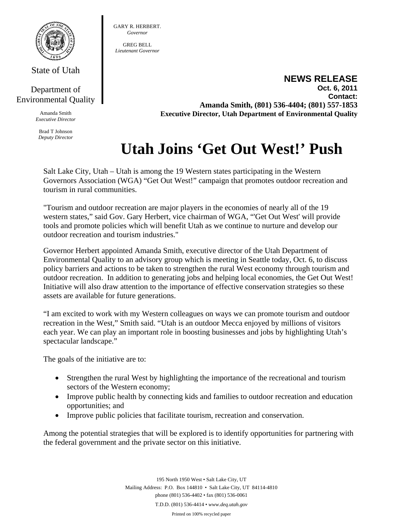

State of Utah

## Department of Environmental Quality

Amanda Smith *Executive Director* 

Brad T Johnson *Deputy Director*  GARY R. HERBERT. *Governor* 

GREG BELL *Lieutenant Governor* 

> **NEWS RELEASE Oct. 6, 2011 Contact: Amanda Smith, (801) 536-4404; (801) 557-1853 Executive Director, Utah Department of Environmental Quality**

## **Utah Joins 'Get Out West!' Push**

Salt Lake City, Utah – Utah is among the 19 Western states participating in the Western Governors Association (WGA) "Get Out West!" campaign that promotes outdoor recreation and tourism in rural communities.

"Tourism and outdoor recreation are major players in the economies of nearly all of the 19 western states," said Gov. Gary Herbert, vice chairman of WGA, "'Get Out West' will provide tools and promote policies which will benefit Utah as we continue to nurture and develop our outdoor recreation and tourism industries."

Governor Herbert appointed Amanda Smith, executive director of the Utah Department of Environmental Quality to an advisory group which is meeting in Seattle today, Oct. 6, to discuss policy barriers and actions to be taken to strengthen the rural West economy through tourism and outdoor recreation. In addition to generating jobs and helping local economies, the Get Out West! Initiative will also draw attention to the importance of effective conservation strategies so these assets are available for future generations.

"I am excited to work with my Western colleagues on ways we can promote tourism and outdoor recreation in the West," Smith said. "Utah is an outdoor Mecca enjoyed by millions of visitors each year. We can play an important role in boosting businesses and jobs by highlighting Utah's spectacular landscape."

The goals of the initiative are to:

- Strengthen the rural West by highlighting the importance of the recreational and tourism sectors of the Western economy;
- Improve public health by connecting kids and families to outdoor recreation and education opportunities; and
- Improve public policies that facilitate tourism, recreation and conservation.

Among the potential strategies that will be explored is to identify opportunities for partnering with the federal government and the private sector on this initiative.

> 195 North 1950 West • Salt Lake City, UT Mailing Address: P.O. Box 144810 • Salt Lake City, UT 84114-4810 phone (801) 536-4402 • fax (801) 536-0061 T.D.D. (801) 536-4414 • *www.deq.utah.gov*

Printed on 100% recycled paper